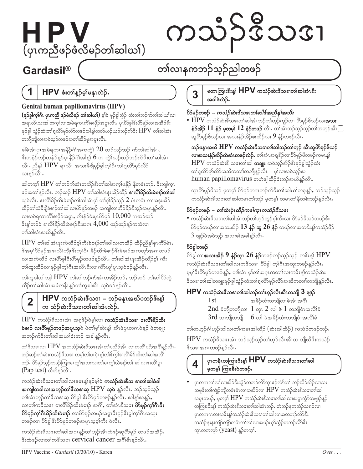# HPV (ပုၤကညီဖဉ်ဖံလိမဉ်တၢ်ဆါဃၢ်)

# ကသံဉ်ဒီသအ

# Gardasil®

# တၢ်လၢနကဘဉ်သ့ဉ်ညါတဖဉ်

#### 1 HPV စံးတါန္ဥိမ္နါမန္မာလဲဥိႇ

# Genital human papillomavirus (HPV)

(မှ**်ခွါက္<sup>ရှိ</sup>ဂီၤ ပုၤကညီ ဖဉ်ဖံလိမဉ် တၢ်ဆါဃၢ်)** မ့ါဝဲ မှဉ်ခွါသွံဉ် ထံးတၢ်ဘဉ်က်တၢ်ဆါဃၢ်လ၊ အရၤလီၤသးအါတက္໌ုလၢအမဲရကၤကိၢိစၢဖိုဉ်အပူၤလီၤႉ ပုၤပိ>်ခွါဒီးပိ>်မှဉ်လၢအအိဉ်ဒီး မှဉ်ခွါ သွံဉ်ထံးတ $\mathfrak{h}_{\mathfrak{g}}$ လိ $\mathfrak{so}$ လိ $\mathfrak{so}$ ဖဉ်အါန္န $\mathfrak{h}$ တ $\mathfrak{so}$ ည်သ $\mathfrak{so}$ ကိ $\mathfrak{F}_{\mathfrak{g}}$ း  $\mathrm{HPV}$  တ $\mathfrak{f}$ ဆါအံ $\mathfrak{g}$ တဘျိဘျိလၢအဝဲသ္ဉ်တဖဉ်အတၢ်အိဉ်မှုအပူၤလီၤႉ

ခါခဲအံၤပုၤအမဲရကၤအနိဉ်ဂံၢ်အကကွဲ $\overline{\mathfrak{c}}$  2 $0$  ဃဉ်ဃဉ်ဘဉ် က်တၢ်ဆါအံၤ $\overline{\mathfrak{c}}$ ဒီးတနံဉ်ဘဉ်တနံဉ်နူဉ်ပုၤနိဉ်ဂံၢ်အါနူ $\,6\,$ က ကွဲ $\,$ ယဉ်ယဉ်ဘဉ်က်ဒီးတ $\,$ ဆ $\,$ အဲၤ လီၤ. ညီနှ $\mathop{\rm HPV}\nolimits$ ရၢလီၤ အသးခီဖျိမှဉ်ခွါက့ $\mathop{\rm h\hskip -0.2em\bar{}\hskip 0.2em\bar{}\hskip 0.2em}\nolimits$ ကြီးတ $\mathop{\rm h\hskip -0.2em\bar{}\hskip 0.2em\bar{}\hskip 0.2em}\nolimits$ သးနူဉ်လီၤႉ

အါတက့ $\mathop{\hbox{HPV}}$  တ $\mathop{\hbox{top}}$ က်အံၤတအိဉ် $\mathop{\hbox{st}}$ းတ $\mathop{\hbox{top}}$ ပနိဉ် နိတမံၤဘဉ်,  $\mathop{\hbox{st}}$ ဘျါက္ $\mathop{\hbox{top}}$ အ်အတၢ်နူဉ်လီၤႉ ဘဉ်ဆဉ်  ${\rm HPV}$  တၢ်ဆါအံၤဒုးအိဉ်ထိဉ် **ဒၢလိၢိခိဉ်ထိးခဲစၢဉ်တၢ်ဆါ** သဲ့ဝဲလိၤႉ ဒၢလိၢိခိဉ်ထိးခဲစၢဉ်တၢ်ဆါအံၤမ့ $\,$  တၢ်ဂ္ဂါခိဉ်သူဉ်  $2$  မံၤတမံၤ လၢအဒုးအိဉ် $\,$ ထိဉ်တၢ်သံခီဖျိခဲစၢဉ်တၢ်ဆါလ၊ပိ>်မှဉ်တဖဉ် အကျါလ၊ဟိဉ်ခိဉ်ဒီဘူဉ်အပူၤန္ဉာလီၤႉ လ၊အမဲရကၤကိၢိစၢဖိုဉ်အပူၤ, ကိးနံ့ဉ် $\,$ းပုၤ $\,$ ်ာမှဉ် $\,$   $\,10,\!000$  ဂၤဃဉ်ဃဉ်  $\degree$ းန့ $\ket{\infty}$ ၀ဲ ဒၢလိ $\ket{\$}$ ည်ထိးခဲစၢ $\mathfrak{Z}$ ီးအဂၤ $\ket{4,000}$  ယဉ်ယဉ်နူဉ်ကသံလၢ တၢ်ဆါအံၤအယိန္ဥ်လီၤ.

 $\rm{HPV}$  တၢ်ဆါအံၤဒုးကဲထိဉ်စ့ၢ်ကီးခဲစၢဉ်တ၊်ဆါလ၊တအိဉ် ထိဉ်ညီနှ၊်စုၤကိ $\rm{S}\dot{\rm{o}}$ ၤ $\rm{,}$ န်အမ္နပ်ိတ်မှဉ်အဒၢလိၢကျိုးဒီးက္နှံဂြီး ခိဉ်ထိးခဲ့စျဉ်ဒီးခဲ့စျဉ်အကလှာ်အဂၤတဖဉ် လ၊အကဲထိဉ် လ၊ပိ5်ခွါဒီးပိ5်မှဉ်တဖဉ်နှဉ်လီၤႉ တၢ်ဆါအံၤဒုးအိဉ်ထိဉ်စ့၊် ကီး တၢ်ထူးထိဉ်လၢမှဉ်ခွါက့ၢ်ဂိၤအလိၤဒီးလၢကိ5ယူၢ်ပူၤသ့ဝဲဒဉ်နူဉ်လီၤႉ

တၢ်ကူစါယါဘူါ  ${\rm HPV}$  တၢ်ဆါဘဉ်က်အံၤတအိဉ်ဘဉ်, ဘဉ်ဆဉ် တၢ်ဆါပိ5်ထွဲ ထိဉ်တၢ်ဆါအံၤအခံတနိၤန္ဥ်တၢ်ကူစါအီၤ သူဝဲဒဉ်နူဉ်လီၤႉ

#### HPV ကသံဉ်ဆဲးဒီသဒၢ – ဘဉ်မနုၤအယိပဘဉ်ဒိးန္<sup>န</sup>  $\overline{2}$ က သံဉ်ဆဲးဒီသဒၢတၢ်ဆါအံၤလဲဉ်.

 $\rm{HPV}$  ကသံဉ် $\rm{{}^3}$ သစၢအံၤ အရှ $\rm{{}^3}$ ဉ်ဝဲမ့ $\rm{{}1}$ လၢ **ကသံဉ်အံၤ** $\rm{{}^3}$ **သစၢ စၢလိၢိခိဉ်ထိး ခဲစၢဉ် လၢိတ်မှဉ်တဖဉ်အပူးသ့**ဝဲ ဖဲတၢ်မ့ၢ်ဆဲးန္<sup>န</sup> အီၤဖဲပုၤတဂၤဝဲန္ဉဉ် ဖဲတချုး အဘဉ်က်ဒီးတၢ်ဆါအယၢ်ဒံးဘဉ် အခါန္**ဉ်**လီၤ.

တါဒီသဒၢလ၊  ${\rm HPV}$  အကသံဉ်ဆဲးဒီသဒၢအံၤတၢ်ပညိဉ်အီၤ လၢကတိၢ်ယံာ်အင်္ဂါန္ဉာလီၤ $\cdot$ ဘဉ်ဆဉ်တါဆဲးကသံဉ်ဒီသဒၢ တမ္(တါမၤပုဲၤန္(တၢ်ဒိက္မ)ဒၢလိၢိခိဉ်ထိးတ၊်ဆါအလိ၊် ဘဉ်. ဟိမုဉ်သူဉ်တဖဉ်ကြားမၤကွၢ်အသးလၢတၢ်မၤကွၢ်လဲစၢဉ်တၢ် ဆါလၢဒၢလိၢ်ပူၤ (Pap test) ထိဘိနဉ်လီး.

ကသံဉ်ဆဲး<sup>8ွ</sup>သဒၢတၢ်ဆါလၢနမၤန္1်န္ဉ်မ္Iဝဲ **ကသံဉ်ဆဲးဒီသ ဒၢတၢ်ဆါခံခါ အကျါတခါလၢအဟ့ဉ်တၢ်ဒီသ** $\boldsymbol{\mathsf{s}}$ **၊ဆူ**  $\mathrm{HPV}$  **သ္** $\boldsymbol{\mathsf{d}}$  **န္နဉ်လီၤ** $\boldsymbol{\mathsf{s}}$ **ာဉ်သ္ဉ်ာသ္ဉ်** တါအံၤဟုဉ်တါံဒီသဒၢဆူ ပိ⁄ာခွါ ဒီးပိ⁄ာမှဉ်တဖဉ်နူဉ်လီၤႉ အါန္1်အနူဉ်ႇ လ၊တၢ်က<sup>8</sup>သဒၢ ဒၢလိၢိခိဉ်ထိးခဲစၢဉ် အင်္ဂါ, တၢ်အံၤဒီသဒၢ **ဟိမှဉ်က္iဂိၤဒီး ဟိမှဉ်ကုဂ်ီဂနိဉ်ထိးခဲစၢဉ်** လ၊ပိ႒်မှဉ်တဖဉ်အပူၤဒီးမှဉ်ဒီးခွါက့ၢ်ဂီၤအထုး တဖဉ်လ၊ ပိ§ခွါဒီးပိ§မှဉ်တဖဉ်အပူၤသ့စ္§ကီး ဝဲလီၤႉ

ကသံဉ်ဆဲးဒီသဒၢတၢ်ဆါအဂၤန္နာ်တၢ်ဟ္၄်အီၤထဲဒဉ်ဆူပိ>်မှဉ် တဖဉ်အအိဉ်ႇ နီးထဲအုလားတာကန္မွတ္ေထာင္ Cervical cancer အပ္ရွုန္ၿမိဳင္မႈ မွာ

#### မတၤကြၢး<sup>၀ွ</sup>းန္၊် HPV ကသံဉ်ဆဲးဒီသဒၢတၢ်ဆါအံၤဒီး 3 အခါဖဲလဲဉ်.

### တ်မှဉ်တဖဉ် – ကသံဉ်ဆဲးဇီသဒၢတၢ်ဆါဇ်အညီနှၤ်အသိး

 $\bullet$   ${\rm HPV}$  ကသံဉ်ဆဲးဒီသဒၢတါဆါအံၤဘဉ်တါဟ္နဉ်ကူဉ်လ၊ ဟိ§မှဉ်ဖိသဉ်လၢ**အသး** နံ**ဉ်အိ** $\mathfrak{S}$  $11$  **နံဉ် မှတမ့** $\mathfrak{h}$  $12$  **နံဉ်တဖဉ် လီၤ. တါအံၤဘဉ်သုဉ်သုဉ်တါကဟုဉ်အီၤ** $\lceil \rceil$ ဆူပိ $\mathrm{Sp}$ ပိုဖိသဉ်လၢ အသးနံဉ်အိဉ်စးထိဉ်လၢ  $9$  နံဉ်တဖဉ်လီၤ $\mathrm{F}$ 

ဘဉ်မနုၤအယိ HPV ကသံဉ်ဆဲးဒီသဒၢတၢ်ဆါဘဉ်တၢ်ဟ္၌ အီၤဆူဟိမှဉ်ဖိသဉ် လ၊အသးနံဉ်အိဉ်ထဲအံၤတဖဉ်လဲဉ်. တါအံၤအရှုဒိဉ်လ၊ပိဉ်မှဉ်ဖိတဖဉ်ကမၤန္န၊် HPV ကသံဉ်ဆဲးဒီ သဒၢတၢ်ဆါ တချုး အဝဲသွဉ်အိဉ်ဒီးမှဉ်ခွါသွံဉ်ထံး တၢ်ရှလိ>်မှာ်လိာ်အဆိကတၢၢ်တဘျိန္ဉာ်လီၤ – မ့္လ်လၢအဝဲသုဉ်အ human papillomavirus တဟဲဖျါထိဉ်ဒံးဘဉ်အယိန္နဉ်လီး.

တုၤပိ>်မုဉ်ဖိသဉ် မ့တမ့္် ပိ>်မုဉ်တဂၤဘဉ်က်ဒီးတၢ်ဆါဃၢ်တစုနူဉ်ႇ ဘဉ်သ့ဉ်သ့ဉ် ကသံဉ်ဆဲးဒီသဒၢတၢ်ဆါတမၤတၢ်ဘဉ် မှတမှ၊် တမၤတၢ်နီတစ်းဘဉ်နဉ်လီၤ.

### တ်မှဉ်တဖဉ် – တစ်းပုံးထိဉ်ကအါကူးကသံဉ်ဇီသဒၢ

• ကသံဉ်ဆဲးဒီသဒၢတၢ်ဆါအံၤဘဉ်တၢ်ဟ္၄်ကူဉ်စ္၊်ကီးလၢ ဟိမှဉ်ဖိသဉ်တဖဉ်ဒီး ပိ>်မှဉ်တဖဉ်လၢအသးအိဉ်  $13$  နံ $\mathfrak f$  ဆူ  $26$  နံ $\mathfrak f$  တဖဉ်လၢအတ $^3$ းန့ $\mathfrak f$ ကသံဉ်ဖိဉ်  $3$  ဖျာဉ်ဖဲအဝဲသုဉ် အသးစၢ်အခါနူဉ်လီၤ $\cdot$ 

# တိရွှေတဖဉ်

ပိ§်ခွါလ၊**အသးအိဉ် 9 နံဉ်တုၤ 26 နံဉ်**တဖဉ်ဘဉ်သူဉ်သူဉ် က<sup>8</sup>းန့<sup>န်</sup> HPV ကသံဉ်ဆဲးဒီသဒၢတၢ်ဆါလၢကဒီသဒၢ ပိ>်ခွါ က္iဂိၤအထုးတဖဉ်န္ဉာလီၤႉ မွမ္နုန္နီးပိ§မှဉ်တဖဉ်န္ဉာ်, တၢ်ိအံ့ၤ မွ၊်တၢ်ိအဂ္ဂၤကတၢၤ်လၢကနိးန္1်ကသံဉ်ဆဲး ဒီသဒၢတၢ်ဆါတချုးမှဉ်ခွါသွံဉ်ထံးတၢ်ရှလိ5်မှဉ်လိ5်အဆိကတၢၢ်တဘျိန္ဉာလီၤႉ

# HPV ကသံဉ်ဆဲးဒီသဒၢတၢ်ဆါဘဉ်တၢ်ဟ္၄်လီၤအီၤတဘျီ 3 ဖျာဉ်

အခ်ိ>်ထံးတဘျိလၢခဲအံၤအဂ်ိါ 1st  $2$ nd ခံဘျီတဘျီလ $_{\rm 1}$ ါ တုၤ $\rm 2$  လ $\rm l$  ဖဲ  $\rm l$  တဘျီဝံၤအလိၢ်ခံ  $3$ rd သၢဘိုတဘိုု  $6$  လါ ဖဲအခ်ိဉ်ထံးတဘိုုဝံၤအလိၢ်ခံ

တၢ်တဟုဉ်ငံ္ဂါဟုဉ်ဘါလ၊တၢ်ကမၤအါထိဉ် (ဆဲးအါထိဉ်) ကသံဉ်တဖဉ်ဘဉ်.

 $HPV$  ကသံဉ် $\mathbf{\hat{s}}$ သ $\mathbf{\hat{s}}$ း ဘဉ်သုဉ်သုဉ်တ $\mathbf{\hat{o}}$ တုံပီးအီၤတ ဘျီယီ $\mathbf{\hat{s}}$ းကသံဉ် ဒီသဒၢအဂၤတဖဉ်နဉ်လီၤႉ

# 4

### ပုၤတနီၤတကြၢးၓိးန္၊် $HPV$  ကသံဉ်ဆဲးဒီသဒၢတၢ်ဆါ မှတမှ္ ကြားခိုးဝဲတဖဉ်.

ပုၤတဂၤလၢ်လ၊လာအိဉ်ဒီးသွံဉ်တဘဉ်လိာ်တုၤဒဉ်လာ်တၢ် ဘဉ်ယိဉ်အိဉ်လ၊သး သမူဒီးတၢ်ကျဲဉ်ကျိတမံၤမံၤလၢအအိဉ်လၢ  ${\rm HPV}$  ကသံဉ်ဆဲးဒီသဒၢတၢ်ဆါ အပူၤတဖဉ်, မ့တမ့ $\mathop{\rm HPV}\nolimits$  ကသံဉ်ဆဲးဒီသဒၢတၢ်ဆါလၢအပူၤကွံာ်တဖျာဉ်နူဉ် တကြားဒိးန့၊် ကသံဉ်ဆဲးဒီသဒၢတၢ်ဆါအံၤဘဉ်ႉ တဲဘဉ်နကသံဉ်သရဉ်လ၊ ပှၤတဂၤဂၤလၢအဒိးန္1်ကသံဉ်ဆဲးဒီသဒၢတၢ်ဆါလၢအတဘဉ်လိ5်ဒီး ကသံဉ်နးနးကျံာ်ကျံာ်တမံၤလၢ်လ၊်လ၊အပဉ်ဃှာ်သွံဉ်တဘဉ်လိာ်ဒီး ကုၤတကလုာ် (yeast) န္5်တက္i်.